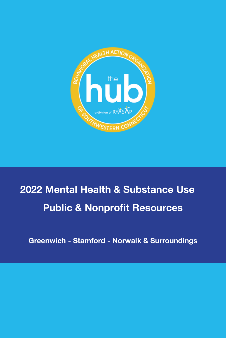

# **2022 Mental Health & Substance Use Public & Nonprofit Resources**

**Greenwich - Stamford - Norwalk & Surroundings**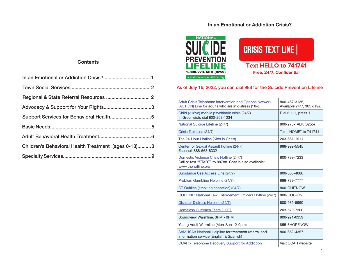# **In an Emotional or Addiction Crisis?**

## **Contents**

| Children's Behavioral Health Treatment (ages 0-18)8 |
|-----------------------------------------------------|
|                                                     |
|                                                     |





## As of July 16, 2022, you can dial 988 for the Suicide Prevention Lifeline

| Adult Crisis Telephone Intervention and Options Network<br>(ACTION) Line for adults who are in distress (18+).          | 800-467-3135.<br>Available 24/7, 365 days. |
|-------------------------------------------------------------------------------------------------------------------------|--------------------------------------------|
| Child (<18yo) mobile psychiatric crisis (24/7)<br>In Greenwich, dial 800-203-1234                                       | Dial 2-1-1, press 1                        |
| National Suicide Lifeline (24/7)                                                                                        | 800-273-TALK (8255)                        |
| Crisis Text Line (24/7)                                                                                                 | Text "HOME" to 741741                      |
| The 24-Hour Hotline (Kids in Crisis)                                                                                    | 203-661-1911                               |
| Center for Sexual Assault hotline (24/7)<br>Espanol: 888-568-8332                                                       | 888-999-5545                               |
| Domestic Violence Crisis Hotline (24/7)<br>Call or text "START" to 88788. Chat is also available:<br>www.thehotline.org | 800-799-7233                               |
| Substance Use Access Line (24/7)                                                                                        | 800-563-4086                               |
| <b>Problem Gambling Helpline (24/7)</b>                                                                                 | 888-789-7777                               |
| CT Quitline (smoking cessation) (24/7)                                                                                  | 800-QUITNOW                                |
| COPLINE: National Law Enforcement Officers Hotline (24/7)                                                               | 800-COP-LINE                               |
| Disaster Distress Helpline (24/7)                                                                                       | 800-985-5990                               |
| Homeless Outreach Team (HOT)                                                                                            | 203-579-7300                               |
| Soundview Warmline, 3PM - 9PM                                                                                           | 800-921-0359                               |
| Young Adult Warmline (Mon-Sun 12-9pm)                                                                                   | 855-6HOPENOW                               |
| <b>SAMHSA's National Helpline for treatment referral and</b><br>information service (English & Spanish)                 | 800-662-4357                               |
| CCAR - Telephone Recovery Support for Addiction                                                                         | Visit CCAR website                         |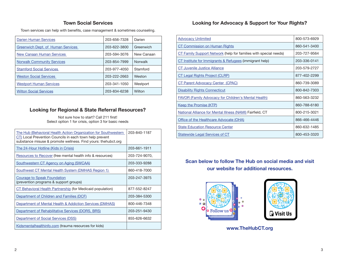# **Town Social Services**

<span id="page-2-0"></span>Town services can help with benefits, case management & sometimes counseling.

| <b>Darien Human Services</b>             | 203-656-7328 | Darien         |
|------------------------------------------|--------------|----------------|
| <b>Greenwich Dept. of Human Services</b> | 203-622-3800 | Greenwich      |
| New Canaan Human Services                | 203-594-3076 | New Canaan     |
| <b>Norwalk Community Services</b>        | 203-854-7999 | <b>Norwalk</b> |
| <b>Stamford Social Services</b>          | 203-977-4050 | Stamford       |
| <b>Weston Social Services</b>            | 203-222-2663 | Weston         |
| <b>Westport Human Services</b>           | 203-341-1050 | Westport       |
| <b>Wilton Social Services</b>            | 203-834-6238 | Wilton         |

# **Looking for Regional & State Referral Resources?**

Not sure how to start? Call 211 first! Select option 1 for crisis, option 3 for basic needs

| The Hub (Behavioral Health Action Organization for Southwestern<br>CT) Local Prevention Councils in each town help prevent<br>substance misuse & promote wellness. Find yours: the hubct.org | 203-840-1187  |
|----------------------------------------------------------------------------------------------------------------------------------------------------------------------------------------------|---------------|
| <u>The 24-Hour Hotline (Kids in Crisis)</u>                                                                                                                                                  | 203-661-1911  |
| Resources to Recover (free mental health info & resources)                                                                                                                                   | 203-724-9070, |
| <b>Southwestern CT Agency on Aging (SWCAA)</b>                                                                                                                                               | 203-333-9288  |
| Southwest CT Mental Health System (DMHAS Region 1)                                                                                                                                           | 860-418-7000  |
| <b>Courage to Speak Foundation</b><br>(prevention programs & support groups)                                                                                                                 | 203-247-3975  |
| CT Behavioral Health Partnership (for Medicaid population)                                                                                                                                   | 877-552-8247  |
| Department of Children and Families (DCF)                                                                                                                                                    | 203-384-5300  |
| Department of Mental Health & Addiction Services (DMHAS)                                                                                                                                     | 800-446-7348  |
| <b>Department of Rehabilitative Services (DORS, BRS)</b>                                                                                                                                     | 203-251-9430  |
| Department of Social Services (DSS)                                                                                                                                                          | 855-626-6632  |
| Kidsmentalhealthinfo.com (trauma resources for kids)                                                                                                                                         |               |

# **Looking for Advocacy & Support for Your Rights?**

| <b>Advocacy Unlimited</b>                                        | 800-573-6929 |
|------------------------------------------------------------------|--------------|
| CT Commission on Human Rights                                    | 860-541-3400 |
| CT Family Support Network (help for families with special needs) | 203-727-9564 |
| CT Institute for Immigrants & Refugees (immigrant help)          | 203-336-0141 |
| <b>CT Juvenile Justice Alliance</b>                              | 203-579-2727 |
| CT Legal Rights Project (CLRP)                                   | 877-402-2299 |
| CT Parent Advocacy Center (CPAC)                                 | 860-739-3089 |
| <b>Disability Rights Connecticut</b>                             | 800-842-7303 |
| <b>FAVOR (Family Advocacy for Children's Mental Health)</b>      | 860-563-3232 |
| Keep the Promise (KTP)                                           | 860-788-6180 |
| National Alliance for Mental Illness (NAMI) Fairfield, CT        | 800-215-3021 |
| Office of the Healthcare Advocate (OHA)                          | 866-466-4446 |
| <b>State Education Resource Center</b>                           | 860-632-1485 |
| Statewide Legal Services of CT                                   | 800-453-3320 |

# **Scan below to follow The Hub on social media and visit our website for additional resources.**



**www.TheHubCT.org**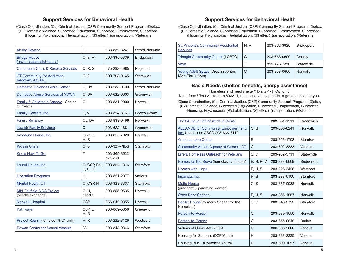# **Support Services for Behavioral Health**

<span id="page-3-0"></span>(C)ase Coordination, (CJ) Criminal Justice, (CSP) Community Support Program, (D)etox, (DV)Domestic Violence, Supported (Ed)ucation, Supported (E)mployment, Supported (H)ousing, Psychosocial (R)ehabilitation, (S)helter, (T)ransportation, (V)eterans

| <b>Ability Beyond</b>                                       | E                      | 888-832-8247             | Stmfd-Norwalk  |
|-------------------------------------------------------------|------------------------|--------------------------|----------------|
| <b>Bridge House</b><br>(psychosocial clubhouse)             | C, E, R                | 203-335-5339             | Bridgeport     |
| <b>Continuum Crisis &amp; Respite Services</b>              | C, R, S                | 475-282-4985             | Regional       |
| <b>CT Community for Addiction</b><br><b>Recovery (CCAR)</b> | C, E                   | 800-708-9145             | Statewide      |
| <b>Domestic Violence Crisis Center</b>                      | C, DV                  | 203-588-9100             | Stmfd-Norwalk  |
| Domestic Abuse Services of YWCA                             | C, DV                  | 203-622-0003             | Greenwich      |
| Family & Children's Agency - Senior<br>Outreach             | C                      | 203-831-2900             | <b>Norwalk</b> |
| <b>Family Centers, Inc.</b>                                 | E, V                   | 203-324-3167             | Grwch-Stmfd    |
| <b>Family Re-Entry</b>                                      | CJ, DV                 | 203-838-0496             | Norwalk        |
| <b>Jewish Family Services</b>                               | C                      | 203-622-1881             | Greenwich      |
| Keystone House, Inc.                                        | CSP, E,<br>H, R        | 203-855-7920             | <b>Norwalk</b> |
| <b>Kids in Crisis</b>                                       | C, S                   | 203-327-KIDS             | Stamford       |
| Know How To Go                                              | T                      | 203-365-8522<br>ext. 263 |                |
| Laurel House, Inc.                                          | C, CSP, Ed,<br>E, H, R | 203-324-1816             | Stamford       |
| <b>Liberation Programs</b>                                  | H                      | 203-851-2077             | Various        |
| <b>Mental Health CT</b>                                     | C, CSP, H              | 203-323-3337             | Stamford       |
| <b>Mid-Fairfield AIDS Project</b><br>(needle exchange)      | C, H,<br>needle        | 203-855-9535             | <b>Norwalk</b> |
| <b>Norwalk Hospital</b>                                     | <b>CSP</b>             | 866-642-9355             | <b>Norwalk</b> |
| Pathways                                                    | CSP, E,<br>H, R        | 203-869-5656             | Greenwich      |
| Project Return (females 18-21 only)                         | H, R                   | 203-222-8129             | Westport       |
| <b>Rowan Center for Sexual Assault</b>                      | <b>DV</b>              | 203-348-9346             | Stamford       |

# **Support Services for Behavioral Health**

(C)ase Coordination, (CJ) Criminal Justice, (CSP) Community Support Program, (D)etox, (DV)Domestic Violence, Supported (Ed)ucation, Supported (E)mployment, Supported (H)ousing, Psychosocial (R)ehabilitation, (S)helter, (T)ransportation, (V)eterans

| <b>St. Vincent's Community Residential</b><br><b>Services</b> | H. R | 203-362-3920 | <b>Bridgeport</b> |
|---------------------------------------------------------------|------|--------------|-------------------|
| Triangle Community Center (LGBTQ)                             | C    | 203-853-0600 | County            |
| Veyo                                                          |      | 855-478-7350 | Statewide         |
| Young Adult Space (Drop-in center,<br>Mon-Thu 1-6pm)          | C    | 203-853-0600 | Norwalk           |

#### **Basic Needs (shelter, benefits, energy assistance)**

Homeless and need shelter? Dial 2-1-1, Option 3

Need food? Text 211food to 898211, then send your zip code to get options near you.

(C)ase Coordination, (CJ) Criminal Justice, (CSP) Community Support Program, (D)etox, (DV)Domestic Violence, Supported (Ed)ucation, Supported (E)mployment, Supported (H)ousing, Psychosocial (R)ehabilitation, (S)helter, (T)ransportation, (V)eterans

| The 24-Hour Hotline (Kids in Crisis)                                            |              | 203-661-1911 | Greenwich         |
|---------------------------------------------------------------------------------|--------------|--------------|-------------------|
| <b>ALLIANCE for Community Empowerment,</b><br>Inc. Used to be ABCD 203-838-8110 | C, S         | 203-366-8241 | <b>Norwalk</b>    |
| American Job Center                                                             | F            | 203-353-1702 | Stamford          |
| <b>Community Action Agency of Western CT</b>                                    | C            | 203-602-8833 | Various           |
| Errera Homeless Outreach for Veterans                                           | S.V          | 203-932-5711 | Statewide         |
| Homes for the Brave (homeless vets only)                                        | E, H, R, V   | 203-338-0669 | <b>Bridgeport</b> |
| <b>Homes with Hope</b>                                                          | E, H, S      | 203-226-3426 | Westport          |
| Inspirica, Inc.                                                                 | H, S         | 203-388-0100 | Stamford          |
| <b>Malta House</b><br>(pregnant & parenting women)                              | C, S         | 203-857-0088 | Norwalk           |
| Open Door Shelter                                                               | E, H, S      | 203-866-1057 | <b>Norwalk</b>    |
| Pacific House (formerly Shelter for the<br>Homeless)                            | S, V         | 203-348-2792 | Stamford          |
| Person-to-Person                                                                | $\mathsf{C}$ | 203-939-1650 | <b>Norwalk</b>    |
| Person-to-Person                                                                | C            | 203-655-0048 | Darien            |
| Victims of Crime Act (VOCA)                                                     | C            | 800-505-9000 | Various           |
| Housing for Success (DCF Youth)                                                 | н            | 203-333-2335 | Various           |
| Housing Plus - (Homeless Youth)                                                 | H            | 203-690-1057 | Various           |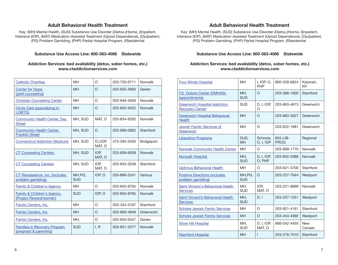#### **Adult Behavioral Health Treatment**

<span id="page-4-0"></span>Key: (MH) Mental Health, (SUD) Substance Use Disorder (D)etox, (H)ome, (I)npatient, Intensive (IOP), (MAT) Medication-Assisted Treatment (Opioid Dependence), (O)utpatient, (PG) Problem Gambling, (PHP) Partial Hospital Program, (R)esidential

#### **Substance Use Access Line: 800-563-4086 Statewide**

#### **Addiction Services: bed availability (detox, sober homes, etc.) www.ctaddictionservices.com**

| <b>Catholic Charities</b>                                       | <b>MH</b>             | O                  | 203-750-9711 | Norwalk           |
|-----------------------------------------------------------------|-----------------------|--------------------|--------------|-------------------|
| <b>Center for Hope</b><br>(grief counseling)                    | <b>MH</b>             | O                  | 203-655-4693 | Darien            |
| <b>Christian Counseling Center</b>                              | <b>MH</b>             | O                  | 203-846-4626 | Norwalk           |
| Circle Care (specializing in<br>LGBTQ)                          | <b>MH</b>             | $\circ$            | 203-852-9525 | Norwalk           |
| <b>Community Health Center, Day</b><br><b>Street</b>            | MH, SUD               | MAT, O             | 203-854-9292 | Norwalk           |
| <b>Community Health Center,</b><br><b>Franklin Street</b>       | MH, SUD               | $\circ$            | 203-969-0802 | Stamford          |
| <b>Connecticut Addiction Medicine</b>                           | MH, SUD               | D.I.IOP.<br>MAT, O | 475-284-2500 | <b>Bridgeport</b> |
| <b>CT Counseling Centers</b>                                    | MH, SUD               | IOP,<br>MAT, O     | 203-838-6508 | <b>Norwalk</b>    |
| <b>CT Counseling Centers</b>                                    | MH, SUD               | IOP,<br>MAT, O     | 203-653-3038 | Stamford          |
| CT Renaissance, Inc. (includes<br>problem gambling)             | MH, PG,<br><b>SUD</b> | IOP, O             | 203-866-2541 | Various           |
| <b>Family &amp; Children's Agency</b>                           | <b>MH</b>             | O                  | 203-855-8765 | Norwalk           |
| <b>Family &amp; Children's Agency</b><br>(Project Reward/women) | <b>SUD</b>            | IOP, O             | 203-855-8765 | <b>Norwalk</b>    |
| Family Centers, Inc.                                            | <b>MH</b>             | O                  | 203-324-3167 | Stamford          |
| Family Centers, Inc.                                            | <b>MH</b>             | $\Omega$           | 203-869-4848 | Greenwich         |
| Family Centers, Inc.                                            | MH,                   | O                  | 203-655-0547 | Darien            |
| <b>Families in Recovery Program</b><br>(pregnant & parenting)   | <b>SUD</b>            | I, R               | 203-851-2077 | <b>Norwalk</b>    |

## **Adult Behavioral Health Treatment**

Key: (MH) Mental Health, (SUD) Substance Use Disorder (D)etox, (H)ome, (I)npatient, Intensive (IOP), (MAT) Medication-Assisted Treatment (Opioid Dependence), (O)utpatient, (PG) Problem Gambling, (PHP) Partial Hospital Program, (R)esidential

#### **Substance Use Access Line: 800-563-4086 Statewide**

#### **Addiction Services: bed availability (detox, sober homes, etc.) www.ctaddictionservices.com**

| <b>Four Winds Hospital</b>                                    | <b>MH</b>             | I, IOP, O,<br>PHP      | 800-528-6624            | Katonah,<br><b>NY</b> |
|---------------------------------------------------------------|-----------------------|------------------------|-------------------------|-----------------------|
| <b>F.S. Dubois Center (DMHAS)</b><br>(appointments)           | MH.<br><b>SUD</b>     | $\circ$                | 203-388-1600            | Stamford              |
| <b>Greenwich Hospital Addiction</b><br><b>Recovery Center</b> | <b>SUD</b>            | D, I, IOP,<br>$\Omega$ | 203-863-4673            | Greenwich             |
| <b>Greenwich Hospital Behavioral</b><br><b>Health</b>         | <b>MH</b>             | O                      | 203-863-3627            | Greenwich             |
| Jewish Family Services of<br>Greenwich                        | <b>MH</b>             | $\circ$                | 203-622-1881            | Greenwich             |
| <b>Liberation Programs</b>                                    | SUD,<br><b>MH</b>     | Schools.<br>0, I, IOP  | 855-LIB-<br><b>PROG</b> | Regional              |
| <b>Norwalk Community Health Center</b>                        | <b>MH</b>             | O                      | 203-899-1770            | Norwalk               |
| <b>Norwalk Hospital</b>                                       | MH.<br><b>SUD</b>     | D, I, IOP,<br>O, PHP   | 203-852-2988            | <b>Norwalk</b>        |
| Optimus Behavioral Health                                     | <b>MH</b>             | O                      | 203-621-3700            | Stamford              |
| <b>Positive Directions (includes</b><br>problem gambling)     | MH, PG,<br><b>SUD</b> | $\circ$                | 203-227-7644            | Westport              |
| Saint Vincent's Behavioral Health<br><b>Services</b>          | MH.<br><b>SUD</b>     | IOP,<br>MAT, O         | 203-221-8899            | Norwalk               |
| Saint Vincent's Behavioral Health<br><b>Services</b>          | MH.<br><b>SUD</b>     | D, I                   | 203-227-1251            | Westport              |
| <b>Schoke Jewish Family Services</b>                          | <b>MH</b>             | O                      | 203-921-4161            | Stamford              |
| <b>Schoke Jewish Family Services</b>                          | <b>MH</b>             | $\circ$                | 203-454-4992            | Westport              |
| <b>Silver Hill Hospital</b>                                   | MH.<br><b>SUD</b>     | D. I. IOP.<br>MAT, O   | 866-542-4455            | <b>New</b><br>Canaan  |
| <b>Stamford Hospital</b>                                      | <b>MH</b>             | I                      | 203-276-7010            | Stamford              |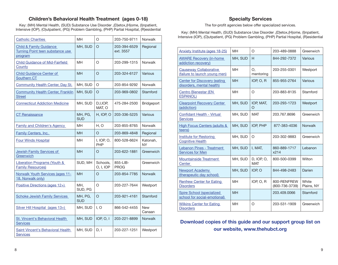# **Children's Behavioral Health Treatment (ages 0-18)**

<span id="page-5-0"></span>Key: (MH) Mental Health, (SUD) Substance Use Disorder ,(D)etox,(H)ome, (I)npatient, Intensive (IOP), (O)utpatient, (PG) Problem Gambling, (PHP) Partial Hospital, (R)esidential

| <b>Catholic Charities</b>                                                         | <b>MH</b>             | O                     | 203-750-9711              | <b>Norwalk</b>        |
|-----------------------------------------------------------------------------------|-----------------------|-----------------------|---------------------------|-----------------------|
| <b>Child &amp; Family Guidance</b><br>Turning Point teen substance use<br>program | MH, SUD               | O                     | 203-394-6529<br>ext. 3557 | Regional              |
| <b>Child Guidance of Mid-Fairfield</b><br>County                                  | MН                    | O                     | 203-299-1315              | <b>Norwalk</b>        |
| <b>Child Guidance Center of</b><br>Southern CT                                    | <b>MH</b>             | $\circ$               | 203-324-6127              | Various               |
| Community Health Center, Day St.                                                  | MH, SUD               | O                     | 203-854-9292              | <b>Norwalk</b>        |
| <b>Community Health Center, Franklin</b><br><b>Street</b>                         | MH, SUD               | $\circ$               | 203-969-0802              | Stamford              |
| <b>Connecticut Addiction Medicine</b>                                             | MH, SUD               | D,I,IOP,<br>MAT, O    | 475-284-2500              | Bridgeport            |
| <b>CT Renaissance</b>                                                             | MH, PG,<br><b>SUD</b> | H, IOP, O             | 203-336-5225              | Various               |
| <b>Family and Children's Agency</b>                                               | MН                    | H, O                  | 203-855-8765              | <b>Norwalk</b>        |
| <b>Family Centers, Inc.</b>                                                       | <b>MH</b>             | O                     | 203-869-4848              | Regional              |
| <b>Four Winds Hospital</b>                                                        | MH                    | I, IOP, O,<br>PHP     | 800-528-6624              | Katonah,<br><b>NY</b> |
| Jewish Family Services of<br>Greenwich                                            | <b>MH</b>             | O                     | 203-622-1881              | Greenwich             |
| <b>Liberation Programs (Youth &amp;</b><br><b>Family Resources)</b>               | SUD, MH               | Schools,<br>0, I, IOP | 855-LIB-<br><b>PROG</b>   | Greenwich             |
| Norwalk Youth Services (ages 11-<br>18, Norwalk only)                             | <b>MH</b>             | O                     | 203-854-7785              | <b>Norwalk</b>        |
| Positive Directions (ages 12+)                                                    | MH.<br>SUD, PG        | O                     | 203-227-7644              | Westport              |
| <b>Schoke Jewish Family Services</b>                                              | MH, PG,<br><b>SUD</b> | $\overline{O}$        | 203-921-4161              | Stamford              |
| Silver Hill Hospital (ages 13+)                                                   | MH, SUD               | I.O                   | 866-542-4455              | <b>New</b><br>Canaan  |
| <b>St. Vincent's Behavioral Health</b><br><b>Services</b>                         | MH, SUD               | <b>IOP, O, I</b>      | 203-221-8899              | Norwalk               |
| Saint Vincent's Behavioral Health<br><b>Services</b>                              | MH, SUD               | D, I                  | 203-227-1251              | Westport              |

# **Specialty Services**

The for-profit agencies below offer specialized services.

Key: (MH) Mental Health, (SUD) Substance Use Disorder ,(D)etox,(H)ome, (I)npatient, Intensive (IOP), (O)utpatient, (PG) Problem Gambling, (PHP) Partial Hospital, (R)esidential

| Anxiety Institute (ages 18-25)                                   | <b>MH</b> | O                        | 203-489-0888                  | Greenwich           |
|------------------------------------------------------------------|-----------|--------------------------|-------------------------------|---------------------|
| <b>AWARE Recovery (in-home)</b><br>addiction recovery)           | MH, SUD   | H                        | 844-292-7372                  | Various             |
| <b>Causeway Collaborative</b><br>(failure to launch young men)   | MН        | Ο.<br>mentoring          | 203-255-0301                  | Westport            |
| <b>Center for Discovery (eating</b><br>disorders, mental health) | <b>MH</b> | IOP, $O$ , $R$           | 855-955-2764                  | Various             |
| <b>Centro Bienestar (EN)</b><br><b>ESPANOL)</b>                  | <b>MH</b> | O                        | 203-883-8135                  | Stamford            |
| <b>Clearpoint Recovery Center</b><br>(addiction)                 | MH, SUD   | IOP, MAT,<br>O           | 203-293-1723                  | Westport            |
| Confidant Health - Virtual<br><b>Services</b>                    | MH, SUD   | <b>MAT</b>               | 203.767.8696                  | Greenwich           |
| <b>High Focus Centers (adults &amp;</b><br>teens)                | MH, SUD   | IOP, PHP                 | 877-383-4036                  | <b>Norwalk</b>      |
| Institute for Restoring<br><b>Cognitive Health</b>               | MH, SUD   | $\circ$                  | 203-302-9883                  | Greenwich           |
| Lebanon Pines - Treatment<br><b>Services for Men</b>             | MH, SUD   | I, MAT,                  | 860-889-1717<br>x214          | Lebanon             |
| <b>Mountainside Treatment</b><br>Center                          | MH, SUD   | D, IOP, O,<br><b>MAT</b> | 800-500-0399                  | Wilton              |
| Newport Academy<br>(therapeutic day school)                      | MH, SUD   | IOP, O                   | 844-498-2483                  | Darien              |
| <b>Renfrew Center for Eating</b><br><b>Disorders</b>             | MH        | IOP, O, R                | 800-RENFREW<br>(800-736-3739) | White<br>Plains, NY |
| Spire School (specialized<br>school for social-emotional)        | <b>MH</b> |                          | 203.409.0066                  | Stamford            |
| <b>Wilkins Center for Eating</b><br><b>Disorders</b>             | MH        | $\circ$                  | 203-531-1909                  | Greenwich           |

**Download copies of this guide and our support group list on our website, www.thehubct.org**